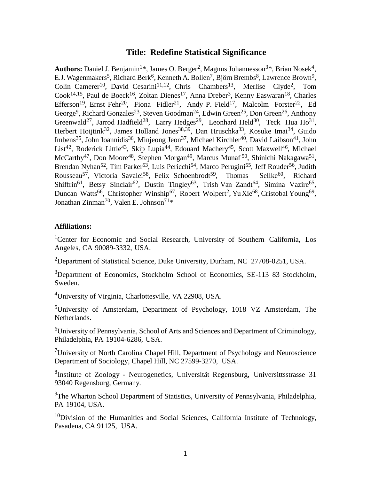# **Title: Redefine Statistical Significance**

Authors: Daniel J. Benjamin<sup>1\*</sup>, James O. Berger<sup>2</sup>, Magnus Johannesson<sup>3\*</sup>, Brian Nosek<sup>4</sup>, E.J. Wagenmakers<sup>5</sup>, Richard Berk<sup>6</sup>, Kenneth A. Bollen<sup>7</sup>, Björn Brembs<sup>8</sup>, Lawrence Brown<sup>9</sup>, Colin Camerer<sup>10</sup>, David Cesarini<sup>11,12</sup>, Chris Chambers<sup>13</sup>, Merlise Clyde<sup>2</sup>, Tom Cook<sup>14,15</sup>, Paul de Boeck<sup>16</sup>, Zoltan Dienes<sup>17</sup>, Anna Dreber<sup>3</sup>, Kenny Easwaran<sup>18</sup>, Charles Efferson<sup>19</sup>, Ernst Fehr<sup>20</sup>, Fiona Fidler<sup>21</sup>, Andy P. Field<sup>17</sup>, Malcolm Forster<sup>22</sup>, Ed George<sup>9</sup>, Richard Gonzales<sup>23</sup>, Steven Goodman<sup>24</sup>, Edwin Green<sup>25</sup>, Don Green<sup>26</sup>, Anthony Greenwald<sup>27</sup>, Jarrod Hadfield<sup>28</sup>, Larry Hedges<sup>29</sup>, Leonhard Held<sup>30</sup>, Teck Hua Ho<sup>31</sup>, Herbert Hoijtink<sup>32</sup>, James Holland Jones<sup>38,39</sup>, Dan Hruschka<sup>33</sup>, Kosuke Imai<sup>34</sup>, Guido Imbens<sup>35</sup>, John Ioannidis<sup>36</sup>, Minjeong Jeon<sup>37</sup>, Michael Kirchler<sup>40</sup>, David Laibson<sup>41</sup>, John List<sup>42</sup>, Roderick Little<sup>43</sup>, Skip Lupia<sup>44</sup>, Edouard Machery<sup>45</sup>, Scott Maxwell<sup>46</sup>, Michael McCarthy<sup>47</sup>, Don Moore<sup>48</sup>, Stephen Morgan<sup>49</sup>, Marcus Munaf<sup>50</sup>, Shinichi Nakagawa<sup>51</sup>, Brendan Nyhan<sup>52</sup>, Tim Parker<sup>53</sup>, Luis Pericchi<sup>54</sup>, Marco Perugini<sup>55</sup>, Jeff Rouder<sup>56</sup>, Judith Rousseau<sup>57</sup>, Victoria Savalei<sup>58</sup>, Felix Schoenbrodt<sup>59</sup>, Thomas Sellke<sup>60</sup>, Richard Shiffrin<sup>61</sup>, Betsy Sinclair<sup>62</sup>, Dustin Tingley<sup>63</sup>, Trish Van Zandt<sup>64</sup>, Simina Vazire<sup>65</sup>, Duncan Watts<sup>66</sup>, Christopher Winship<sup>67</sup>, Robert Wolpert<sup>2</sup>, Yu Xie<sup>68</sup>, Cristobal Young<sup>69</sup>, Jonathan Zinman<sup>70</sup>, Valen E. Johnson<sup>71</sup>\*

## **Affiliations:**

<sup>1</sup>Center for Economic and Social Research, University of Southern California, Los Angeles, CA 90089-3332, USA.

<sup>2</sup>Department of Statistical Science, Duke University, Durham, NC  $27708-0251$ , USA.

<sup>3</sup>Department of Economics, Stockholm School of Economics, SE-113 83 Stockholm, Sweden.

<sup>4</sup>University of Virginia, Charlottesville, VA 22908, USA.

<sup>5</sup>University of Amsterdam, Department of Psychology, 1018 VZ Amsterdam, The Netherlands.

<sup>6</sup>University of Pennsylvania, School of Arts and Sciences and Department of Criminology, Philadelphia, PA 19104-6286, USA.

<sup>7</sup>University of North Carolina Chapel Hill, Department of Psychology and Neuroscience Department of Sociology, Chapel Hill, NC 27599-3270, USA.

<sup>8</sup>Institute of Zoology - Neurogenetics, Universität Regensburg, Universittsstrasse 31 93040 Regensburg, Germany.

<sup>9</sup>The Wharton School Department of Statistics, University of Pennsylvania, Philadelphia, PA 19104, USA.

 $10$ Division of the Humanities and Social Sciences, California Institute of Technology, Pasadena, CA 91125, USA.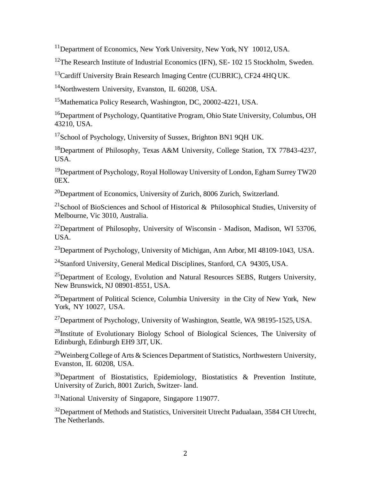<sup>11</sup>Department of Economics, New York University, New York, NY 10012, USA.

<sup>12</sup>The Research Institute of Industrial Economics (IFN), SE- 102 15 Stockholm, Sweden.

<sup>13</sup>Cardiff University Brain Research Imaging Centre (CUBRIC), CF24 4HQ UK.

<sup>14</sup>Northwestern University, Evanston, IL 60208, USA.

<sup>15</sup>Mathematica Policy Research, Washington, DC, 20002-4221, USA.

<sup>16</sup>Department of Psychology, Quantitative Program, Ohio State University, Columbus, OH 43210, USA.

<sup>17</sup>School of Psychology, University of Sussex, Brighton BN1 9QH UK.

<sup>18</sup>Department of Philosophy, Texas A&M University, College Station, TX 77843-4237, USA.

<sup>19</sup>Department of Psychology, Royal Holloway University of London, Egham Surrey TW20 0EX.

<sup>20</sup>Department of Economics, University of Zurich, 8006 Zurich, Switzerland.

<sup>21</sup>School of BioSciences and School of Historical & Philosophical Studies, University of Melbourne, Vic 3010, Australia.

<sup>22</sup>Department of Philosophy, University of Wisconsin - Madison, Madison, WI 53706, USA.

<sup>23</sup>Department of Psychology, University of Michigan, Ann Arbor, MI 48109-1043, USA.

<sup>24</sup>Stanford University, General Medical Disciplines, Stanford, CA 94305, USA.

<sup>25</sup>Department of Ecology, Evolution and Natural Resources SEBS, Rutgers University, New Brunswick, NJ 08901-8551, USA.

 $^{26}$ Department of Political Science, Columbia University in the City of New York, New York, NY 10027, USA.

<sup>27</sup>Department of Psychology, University of Washington, Seattle, WA 98195-1525, USA.

<sup>28</sup>Institute of Evolutionary Biology School of Biological Sciences, The University of Edinburgh, Edinburgh EH9 3JT, UK.

<sup>29</sup>Weinberg College of Arts & Sciences Department of Statistics, Northwestern University, Evanston, IL 60208, USA.

 $30$ Department of Biostatistics, Epidemiology, Biostatistics & Prevention Institute, University of Zurich, 8001 Zurich, Switzer- land.

<sup>31</sup>National University of Singapore, Singapore 119077.

<sup>32</sup>Department of Methods and Statistics, Universiteit Utrecht Padualaan, 3584 CH Utrecht, The Netherlands.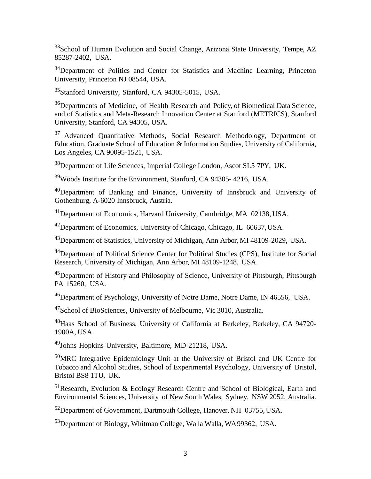$33$ School of Human Evolution and Social Change, Arizona State University, Tempe, AZ 85287-2402, USA.

<sup>34</sup>Department of Politics and Center for Statistics and Machine Learning, Princeton University, Princeton NJ 08544, USA.

<sup>35</sup>Stanford University, Stanford, CA 94305-5015, USA.

<sup>36</sup>Departments of Medicine, of Health Research and Policy, of Biomedical Data Science, and of Statistics and Meta-Research Innovation Center at Stanford (METRICS), Stanford University, Stanford, CA 94305, USA.

<sup>37</sup> Advanced Quantitative Methods, Social Research Methodology, Department of Education, Graduate School of Education & Information Studies, University of California, Los Angeles, CA 90095-1521, USA.

<sup>38</sup>Department of Life Sciences, Imperial College London, Ascot SL5 7PY, UK.

<sup>39</sup>Woods Institute for the Environment, Stanford, CA 94305- 4216, USA.

<sup>40</sup>Department of Banking and Finance, University of Innsbruck and University of Gothenburg, A-6020 Innsbruck, Austria.

<sup>41</sup>Department of Economics, Harvard University, Cambridge, MA 02138, USA.

<sup>42</sup>Department of Economics, University of Chicago, Chicago, IL 60637,USA.

<sup>43</sup>Department of Statistics, University of Michigan, Ann Arbor, MI 48109-2029, USA.

<sup>44</sup>Department of Political Science Center for Political Studies (CPS), Institute for Social Research, University of Michigan, Ann Arbor, MI 48109-1248, USA.

<sup>45</sup>Department of History and Philosophy of Science, University of Pittsburgh, Pittsburgh PA 15260, USA.

<sup>46</sup>Department of Psychology, University of Notre Dame, Notre Dame, IN 46556, USA.

<sup>47</sup>School of BioSciences, University of Melbourne, Vic 3010, Australia.

<sup>48</sup>Haas School of Business, University of California at Berkeley, Berkeley, CA 94720- 1900A, USA.

<sup>49</sup>Johns Hopkins University, Baltimore, MD 21218, USA.

<sup>50</sup>MRC Integrative Epidemiology Unit at the University of Bristol and UK Centre for Tobacco and Alcohol Studies, School of Experimental Psychology, University of Bristol, Bristol BS8 1TU, UK.

<sup>51</sup>Research, Evolution & Ecology Research Centre and School of Biological, Earth and Environmental Sciences, University of New South Wales, Sydney, NSW 2052, Australia.

<sup>52</sup>Department of Government, Dartmouth College, Hanover, NH 03755, USA.

<sup>53</sup>Department of Biology, Whitman College, Walla Walla, WA 99362, USA.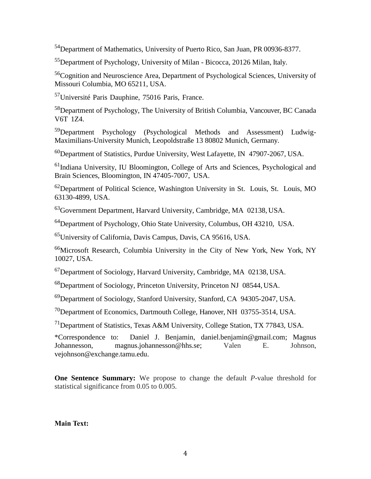<sup>54</sup>Department of Mathematics, University of Puerto Rico, San Juan, PR 00936-8377.

<sup>55</sup>Department of Psychology, University of Milan - Bicocca, 20126 Milan, Italy.

<sup>56</sup>Cognition and Neuroscience Area, Department of Psychological Sciences, University of Missouri Columbia, MO 65211, USA.

<sup>57</sup>Université Paris Dauphine, 75016 Paris, France.

<sup>58</sup>Department of Psychology, The University of British Columbia, Vancouver, BC Canada V6T 1Z4.

<sup>59</sup>Department Psychology (Psychological Methods and Assessment) Ludwig-Maximilians-University Munich, Leopoldstraße 13 80802 Munich, Germany.

<sup>60</sup>Department of Statistics, Purdue University, West Lafayette, IN 47907-2067, USA.

<sup>61</sup>Indiana University, IU Bloomington, College of Arts and Sciences, Psychological and Brain Sciences, Bloomington, IN 47405-7007, USA.

<sup>62</sup>Department of Political Science, Washington University in St. Louis, St. Louis, MO 63130-4899, USA.

<sup>63</sup>Government Department, Harvard University, Cambridge, MA 02138, USA.

<sup>64</sup>Department of Psychology, Ohio State University, Columbus, OH 43210, USA.

<sup>65</sup>University of California, Davis Campus, Davis, CA 95616, USA.

<sup>66</sup>Microsoft Research, Columbia University in the City of New York, New York, NY 10027, USA.

<sup>67</sup>Department of Sociology, Harvard University, Cambridge, MA 02138, USA.

<sup>68</sup>Department of Sociology, Princeton University, Princeton NJ 08544, USA.

<sup>69</sup>Department of Sociology, Stanford University, Stanford, CA 94305-2047, USA.

<sup>70</sup>Department of Economics, Dartmouth College, Hanover, NH 03755-3514, USA.

<sup>71</sup>Department of Statistics, Texas A&M University, College Station, TX 77843, USA.

\*Correspondence to: Daniel J. Benjamin, daniel.benjamin@gmail.com; Magnus Johannesson, magnus.johannesson@hhs.se; Valen E. Johnson, vejohnson@exchange.tamu.edu.

**One Sentence Summary:** We propose to change the default *P*-value threshold for statistical significance from 0.05 to 0.005.

**Main Text:**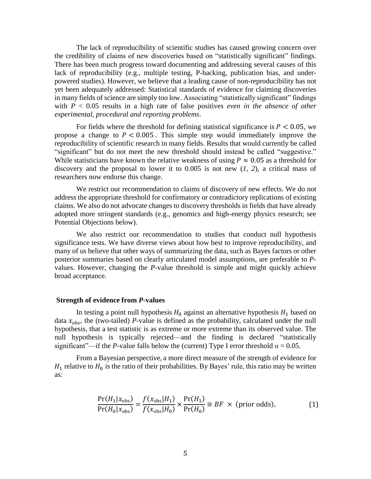The lack of reproducibility of scientific studies has caused growing concern over the credibility of claims of new discoveries based on "statistically significant" findings. There has been much progress toward documenting and addressing several causes of this lack of reproducibility (e.g., multiple testing, P-hacking, publication bias, and underpowered studies). However, we believe that a leading cause of non-reproducibility has not yet been adequately addressed: Statistical standards of evidence for claiming discoveries in many fields of science are simply too low. Associating "statistically significant" findings with  $P < 0.05$  results in a high rate of false positives *even in the absence of other experimental, procedural and reporting problems*.

For fields where the threshold for defining statistical significance is  $P < 0.05$ , we propose a change to  $P < 0.005$ . This simple step would immediately improve the reproducibility of scientific research in many fields. Results that would currently be called "significant" but do not meet the new threshold should instead be called "suggestive." While statisticians have known the relative weakness of using  $P \approx 0.05$  as a threshold for discovery and the proposal to lower it to 0.005 is not new (*1, 2*), a critical mass of researchers now endorse this change.

We restrict our recommendation to claims of discovery of new effects. We do not address the appropriate threshold for confirmatory or contradictory replications of existing claims. We also do not advocate changes to discovery thresholds in fields that have already adopted more stringent standards (e.g., genomics and high-energy physics research; see Potential Objections below).

We also restrict our recommendation to studies that conduct null hypothesis significance tests. We have diverse views about how best to improve reproducibility, and many of us believe that other ways of summarizing the data, such as Bayes factors or other posterior summaries based on clearly articulated model assumptions, are preferable to *P*values. However, changing the *P*-value threshold is simple and might quickly achieve broad acceptance.

#### **Strength of evidence from** *P***-values**

In testing a point null hypothesis  $H_0$  against an alternative hypothesis  $H_1$  based on data  $x_{\text{obs}}$ , the (two-tailed) *P*-value is defined as the probability, calculated under the null hypothesis, that a test statistic is as extreme or more extreme than its observed value. The null hypothesis is typically rejected—and the finding is declared "statistically significant"—if the *P*-value falls below the (current) Type I error threshold  $\alpha = 0.05$ .

From a Bayesian perspective, a more direct measure of the strength of evidence for  $H_1$  relative to  $H_0$  is the ratio of their probabilities. By Bayes' rule, this ratio may be written as:

$$
\frac{\Pr(H_1|x_{\text{obs}})}{\Pr(H_0|x_{\text{obs}})} = \frac{f(x_{\text{obs}}|H_1)}{f(x_{\text{obs}}|H_0)} \times \frac{\Pr(H_1)}{\Pr(H_0)} \equiv BF \times \text{(prior odds)},\tag{1}
$$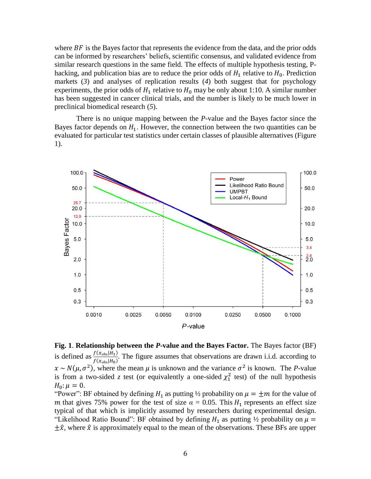where  $BF$  is the Bayes factor that represents the evidence from the data, and the prior odds can be informed by researchers' beliefs, scientific consensus, and validated evidence from similar research questions in the same field. The effects of multiple hypothesis testing, Phacking, and publication bias are to reduce the prior odds of  $H_1$  relative to  $H_0$ . Prediction markets (*3*) and analyses of replication results (*4*) both suggest that for psychology experiments, the prior odds of  $H_1$  relative to  $H_0$  may be only about 1:10. A similar number has been suggested in cancer clinical trials, and the number is likely to be much lower in preclinical biomedical research (*5*).

There is no unique mapping between the *P*-value and the Bayes factor since the Bayes factor depends on  $H_1$ . However, the connection between the two quantities can be evaluated for particular test statistics under certain classes of plausible alternatives (Figure 1).



**Fig. 1**. **Relationship between the** *P***-value and the Bayes Factor.** The Bayes factor (BF) is defined as  $\frac{f(x_{\text{obs}}|H_1)}{f(x_{\text{obs}}|H_2)}$  $\frac{\partial (x_{\text{obs}}|H_1)}{\partial (x_{\text{obs}}|H_0)}$ . The figure assumes that observations are drawn i.i.d. according to  $x \sim N(\mu, \sigma^2)$ , where the mean  $\mu$  is unknown and the variance  $\sigma^2$  is known. The *P*-value is from a two-sided z test (or equivalently a one-sided  $\chi_1^2$  test) of the null hypothesis  $H_0: \mu = 0.$ 

"Power": BF obtained by defining  $H_1$  as putting  $\frac{1}{2}$  probability on  $\mu = \pm m$  for the value of m that gives 75% power for the test of size  $\alpha = 0.05$ . This  $H_1$  represents an effect size typical of that which is implicitly assumed by researchers during experimental design. "Likelihood Ratio Bound": BF obtained by defining  $H_1$  as putting  $\frac{1}{2}$  probability on  $\mu =$  $\pm \hat{x}$ , where  $\hat{x}$  is approximately equal to the mean of the observations. These BFs are upper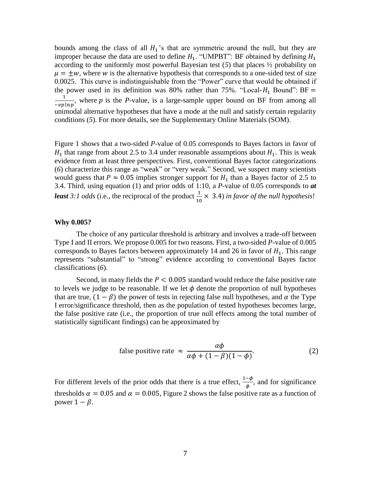bounds among the class of all  $H_1$ 's that are symmetric around the null, but they are improper because the data are used to define  $H_1$ . "UMPBT": BF obtained by defining  $H_1$ according to the uniformly most powerful Bayesian test  $(5)$  that places  $\frac{1}{2}$  probability on  $\mu = \pm w$ , where w is the alternative hypothesis that corresponds to a one-sided test of size 0.0025. This curve is indistinguishable from the "Power" curve that would be obtained if the power used in its definition was 80% rather than 75%. "Local- $H_1$  Bound": BF = 1  $\frac{1}{-ep \ln p}$ , where *p* is the *P*-value, is a large-sample upper bound on BF from among all unimodal alternative hypotheses that have a mode at the null and satisfy certain regularity conditions (*5*). For more details, see the Supplementary Online Materials (SOM).

Figure 1 shows that a two-sided *P*-value of 0.05 corresponds to Bayes factors in favor of  $H_1$  that range from about 2.5 to 3.4 under reasonable assumptions about  $H_1$ . This is weak evidence from at least three perspectives. First, conventional Bayes factor categorizations (*6*) characterize this range as "weak" or "very weak." Second, we suspect many scientists would guess that  $P \approx 0.05$  implies stronger support for  $H_1$  than a Bayes factor of 2.5 to 3.4. Third, using equation (1) and prior odds of 1:10, a *P*-value of 0.05 corresponds to *at least* 3:1 *odds* (i.e., the reciprocal of the product  $\frac{1}{10} \times 3.4$ ) *in favor of the null hypothesis!* 

#### **Why 0.005?**

The choice of any particular threshold is arbitrary and involves a trade-off between Type I and II errors. We propose 0.005 for two reasons. First, a two-sided *P*-value of 0.005 corresponds to Bayes factors between approximately 14 and 26 in favor of  $H_1$ . This range represents "substantial" to "strong" evidence according to conventional Bayes factor classifications (*6*).

Second, in many fields the  $P < 0.005$  standard would reduce the false positive rate to levels we judge to be reasonable. If we let  $\phi$  denote the proportion of null hypotheses that are true,  $(1 - \beta)$  the power of tests in rejecting false null hypotheses, and  $\alpha$  the Type I error/significance threshold, then as the population of tested hypotheses becomes large, the false positive rate (i.e., the proportion of true null effects among the total number of statistically significant findings) can be approximated by

false positive rate 
$$
\approx \frac{\alpha \phi}{\alpha \phi + (1 - \beta)(1 - \phi)}
$$
. (2)

For different levels of the prior odds that there is a true effect,  $\frac{1-\phi}{\phi}$ , and for significance thresholds  $\alpha = 0.05$  and  $\alpha = 0.005$ , Figure 2 shows the false positive rate as a function of power  $1 - \beta$ .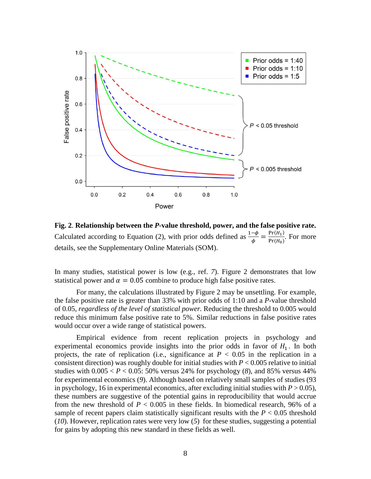

**Fig. 2**. **Relationship between the** *P***-value threshold, power, and the false positive rate.** Calculated according to Equation (2), with prior odds defined as  $\frac{1-\phi}{\phi} = \frac{Pr(H_1)}{Pr(H_0)}$  $\frac{\text{FT}(H_1)}{\text{Pr}(H_0)}$ . For more details, see the Supplementary Online Materials (SOM).

In many studies, statistical power is low (e.g., ref. *7*). Figure 2 demonstrates that low statistical power and  $\alpha = 0.05$  combine to produce high false positive rates.

For many, the calculations illustrated by Figure 2 may be unsettling. For example, the false positive rate is greater than 33% with prior odds of 1:10 and a *P*-value threshold of 0.05, *regardless of the level of statistical power.* Reducing the threshold to 0.005 would reduce this minimum false positive rate to 5%. Similar reductions in false positive rates would occur over a wide range of statistical powers.

Empirical evidence from recent replication projects in psychology and experimental economics provide insights into the prior odds in favor of  $H_1$ . In both projects, the rate of replication (i.e., significance at  $P < 0.05$  in the replication in a consistent direction) was roughly double for initial studies with  $P < 0.005$  relative to initial studies with  $0.005 < P < 0.05$ : 50% versus 24% for psychology (8), and 85% versus 44% for experimental economics (*9*). Although based on relatively small samples of studies (93 in psychology, 16 in experimental economics, after excluding initial studies with  $P > 0.05$ ), these numbers are suggestive of the potential gains in reproducibility that would accrue from the new threshold of  $P < 0.005$  in these fields. In biomedical research, 96% of a sample of recent papers claim statistically significant results with the  $P < 0.05$  threshold (*10*). However, replication rates were very low (*5*) for these studies, suggesting a potential for gains by adopting this new standard in these fields as well.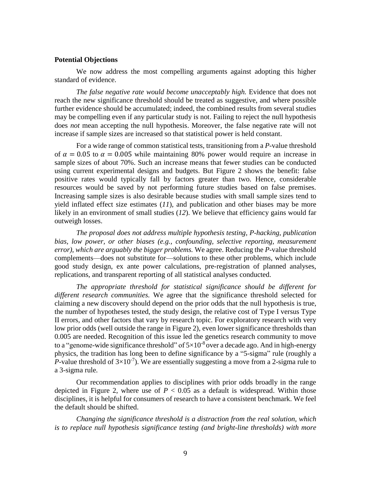## **Potential Objections**

We now address the most compelling arguments against adopting this higher standard of evidence.

*The false negative rate would become unacceptably high.* Evidence that does not reach the new significance threshold should be treated as suggestive, and where possible further evidence should be accumulated; indeed, the combined results from several studies may be compelling even if any particular study is not. Failing to reject the null hypothesis does *not* mean accepting the null hypothesis. Moreover, the false negative rate will not increase if sample sizes are increased so that statistical power is held constant.

For a wide range of common statistical tests, transitioning from a *P*-value threshold of  $\alpha = 0.05$  to  $\alpha = 0.005$  while maintaining 80% power would require an increase in sample sizes of about 70%. Such an increase means that fewer studies can be conducted using current experimental designs and budgets. But Figure 2 shows the benefit: false positive rates would typically fall by factors greater than two. Hence, considerable resources would be saved by not performing future studies based on false premises. Increasing sample sizes is also desirable because studies with small sample sizes tend to yield inflated effect size estimates (*11*), and publication and other biases may be more likely in an environment of small studies (*12*). We believe that efficiency gains would far outweigh losses.

*The proposal does not address multiple hypothesis testing, P-hacking, publication bias, low power, or other biases (e.g., confounding, selective reporting, measurement error), which are arguably the bigger problems.* We agree. Reducing the *P*-value threshold complements—does not substitute for—solutions to these other problems, which include good study design, ex ante power calculations, pre-registration of planned analyses, replications, and transparent reporting of all statistical analyses conducted.

*The appropriate threshold for statistical significance should be different for different research communities.* We agree that the significance threshold selected for claiming a new discovery should depend on the prior odds that the null hypothesis is true, the number of hypotheses tested, the study design, the relative cost of Type I versus Type II errors, and other factors that vary by research topic. For exploratory research with very low prior odds (well outside the range in Figure 2), even lower significance thresholds than 0.005 are needed. Recognition of this issue led the genetics research community to move to a "genome-wide significance threshold" of  $5\times10^{-8}$  over a decade ago. And in high-energy physics, the tradition has long been to define significance by a "5-sigma" rule (roughly a *P*-value threshold of  $3\times10^{-7}$ ). We are essentially suggesting a move from a 2-sigma rule to a 3-sigma rule.

Our recommendation applies to disciplines with prior odds broadly in the range depicted in Figure 2, where use of  $P < 0.05$  as a default is widespread. Within those disciplines, it is helpful for consumers of research to have a consistent benchmark. We feel the default should be shifted.

*Changing the significance threshold is a distraction from the real solution, which is to replace null hypothesis significance testing (and bright-line thresholds) with more*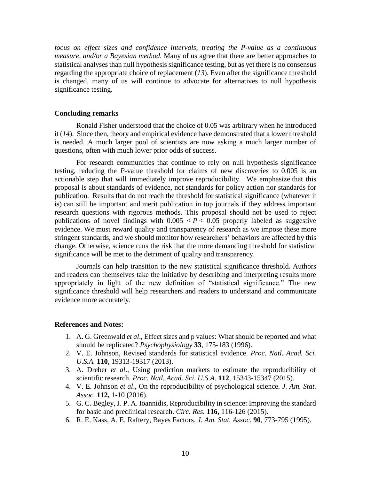*focus on effect sizes and confidence intervals, treating the P-value as a continuous measure, and/or a Bayesian method.* Many of us agree that there are better approaches to statistical analyses than null hypothesis significance testing, but as yet there is no consensus regarding the appropriate choice of replacement (*13*). Even after the significance threshold is changed, many of us will continue to advocate for alternatives to null hypothesis significance testing.

### **Concluding remarks**

Ronald Fisher understood that the choice of 0.05 was arbitrary when he introduced it (*14*). Since then, theory and empirical evidence have demonstrated that a lower threshold is needed. A much larger pool of scientists are now asking a much larger number of questions, often with much lower prior odds of success.

For research communities that continue to rely on null hypothesis significance testing, reducing the *P*-value threshold for claims of new discoveries to 0.005 is an actionable step that will immediately improve reproducibility. We emphasize that this proposal is about standards of evidence, not standards for policy action nor standards for publication. Results that do not reach the threshold for statistical significance (whatever it is) can still be important and merit publication in top journals if they address important research questions with rigorous methods. This proposal should not be used to reject publications of novel findings with  $0.005 < P < 0.05$  properly labeled as suggestive evidence. We must reward quality and transparency of research as we impose these more stringent standards, and we should monitor how researchers' behaviors are affected by this change. Otherwise, science runs the risk that the more demanding threshold for statistical significance will be met to the detriment of quality and transparency.

Journals can help transition to the new statistical significance threshold. Authors and readers can themselves take the initiative by describing and interpreting results more appropriately in light of the new definition of "statistical significance." The new significance threshold will help researchers and readers to understand and communicate evidence more accurately.

## **References and Notes:**

- 1. A. G. Greenwald *et al*., Effect sizes and p values: What should be reported and what should be replicated? *Psychophysiology* **33**, 175-183 (1996).
- 2. V. E. Johnson, Revised standards for statistical evidence. *Proc. Natl. Acad. Sci. U.S.A.* **110**, 19313-19317 (2013).
- 3. A. Dreber *et al*., Using prediction markets to estimate the reproducibility of scientific research. *Proc. Natl. Acad. Sci. U.S.A.* **112**, 15343-15347 (2015).
- 4. V. E. Johnson *et al*., On the reproducibility of psychological science. *J. Am. Stat. Assoc.* **112,** 1-10 (2016).
- 5. G. C. Begley, J. P. A. Ioannidis, Reproducibility in science: Improving the standard for basic and preclinical research. *Circ. Res.* **116,** 116-126 (2015).
- 6. R. E. Kass, A. E. Raftery, Bayes Factors. *J. Am. Stat. Assoc.* **90**, 773-795 (1995).